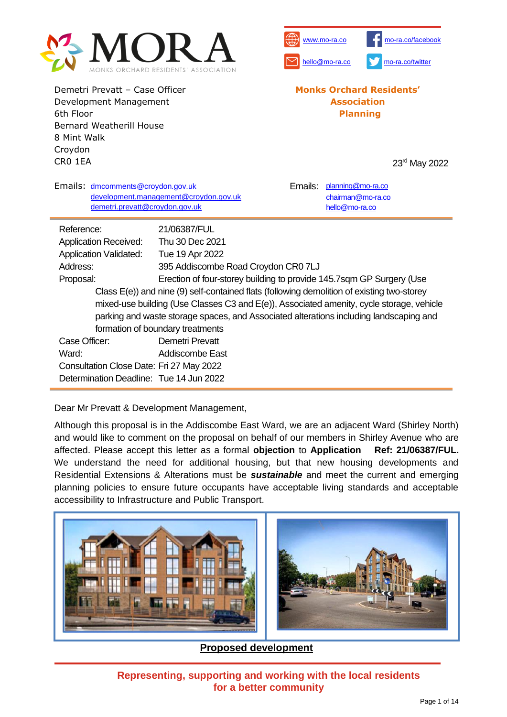

Demetri Prevatt – Case Officer Development Management 6th Floor Bernard Weatherill House 8 Mint Walk Croydon CR0 1EA



#### **Monks Orchard Residents' Association Planning**

23<sup>rd</sup> May 2022

| Emails: dmcomments@croydon.gov.uk<br>demetri.prevatt@croydon.gov.uk                        | development.management@croydon.gov.uk                                | Emails: | planning@mo-ra.co<br>chairman@mo-ra.co<br>hello@mo-ra.co |  |  |  |  |
|--------------------------------------------------------------------------------------------|----------------------------------------------------------------------|---------|----------------------------------------------------------|--|--|--|--|
| Reference:                                                                                 | 21/06387/FUL                                                         |         |                                                          |  |  |  |  |
| <b>Application Received:</b>                                                               | Thu 30 Dec 2021                                                      |         |                                                          |  |  |  |  |
| <b>Application Validated:</b>                                                              | Tue 19 Apr 2022                                                      |         |                                                          |  |  |  |  |
| Address:                                                                                   | 395 Addiscombe Road Croydon CR0 7LJ                                  |         |                                                          |  |  |  |  |
| Proposal:                                                                                  | Erection of four-storey building to provide 145.7sqm GP Surgery (Use |         |                                                          |  |  |  |  |
| Class E(e)) and nine (9) self-contained flats (following demolition of existing two-storey |                                                                      |         |                                                          |  |  |  |  |
| mixed-use building (Use Classes C3 and E(e)), Associated amenity, cycle storage, vehicle   |                                                                      |         |                                                          |  |  |  |  |
| parking and waste storage spaces, and Associated alterations including landscaping and     |                                                                      |         |                                                          |  |  |  |  |
| formation of boundary treatments                                                           |                                                                      |         |                                                          |  |  |  |  |
| Case Officer:                                                                              | Demetri Prevatt                                                      |         |                                                          |  |  |  |  |
| Ward:                                                                                      | Addiscombe East                                                      |         |                                                          |  |  |  |  |
| Consultation Close Date: Fri 27 May 2022                                                   |                                                                      |         |                                                          |  |  |  |  |
| Determination Deadline: Tue 14 Jun 2022                                                    |                                                                      |         |                                                          |  |  |  |  |

Dear Mr Prevatt & Development Management,

Although this proposal is in the Addiscombe East Ward, we are an adjacent Ward (Shirley North) and would like to comment on the proposal on behalf of our members in Shirley Avenue who are affected. Please accept this letter as a formal **objection** to **Application Ref: 21/06387/FUL.**  We understand the need for additional housing, but that new housing developments and Residential Extensions & Alterations must be *sustainable* and meet the current and emerging planning policies to ensure future occupants have acceptable living standards and acceptable accessibility to Infrastructure and Public Transport.



**Proposed development**

**Representing, supporting and working with the local residents for a better community**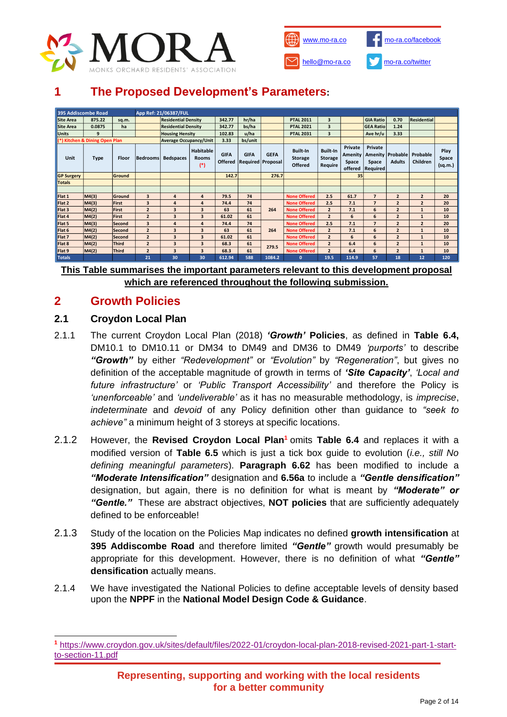



# **1 The Proposed Development's Parameters:**

| 395 Addiscombe Road            |              |               |                               | App Ref: 21/06387/FUL      |                                    |             |             |                                                 |                                                     |                                              |                                        |                                         |                |                                             |                          |
|--------------------------------|--------------|---------------|-------------------------------|----------------------------|------------------------------------|-------------|-------------|-------------------------------------------------|-----------------------------------------------------|----------------------------------------------|----------------------------------------|-----------------------------------------|----------------|---------------------------------------------|--------------------------|
| <b>Site Area</b>               | 875.22       | sq.m.         |                               | <b>Residential Density</b> |                                    | 342.77      | hr/ha       |                                                 | <b>PTAL 2011</b>                                    | 3                                            |                                        | <b>GIA Ratio</b>                        | 0.70           | <b>Residential</b>                          |                          |
| <b>Site Area</b>               | 0.0875       | ha            |                               | <b>Residential Density</b> |                                    | 342.77      | bs/ha       |                                                 | <b>PTAL 2021</b>                                    | $\overline{\mathbf{3}}$                      |                                        | <b>GEA Ratio</b>                        | 1.24           |                                             |                          |
| <b>Units</b>                   | $\mathbf{q}$ |               |                               | <b>Housing Hensity</b>     |                                    | 102.83      | u/ha        |                                                 | <b>PTAL 2031</b>                                    | $\overline{\mathbf{3}}$                      |                                        | Ave hr/u                                | 3.33           |                                             |                          |
| (*) Kitchen & Dining Open Plan |              |               | <b>Average Occupancy/Unit</b> |                            | 3.33                               | bs/unit     |             |                                                 |                                                     |                                              |                                        |                                         |                |                                             |                          |
| Unit                           | <b>Type</b>  | Floor         | <b>Bedrooms</b>               | <b>Bedspaces</b>           | Habitable<br><b>Rooms</b><br>$(*)$ | <b>GIFA</b> | <b>GIFA</b> | <b>GEFA</b><br><b>Offered Required Proposal</b> | <b>Built-In</b><br><b>Storage</b><br><b>Offered</b> | <b>Built-In</b><br><b>Storage</b><br>Require | Private<br>Amenity<br>Space<br>offered | Private<br>Amenity<br>Space<br>Required | <b>Adults</b>  | <b>Probable Probable</b><br><b>Children</b> | Play<br>Space<br>(sq.m.) |
| <b>GP Surgery</b>              |              | Ground        |                               |                            |                                    | 142.7       |             | 276.7                                           |                                                     |                                              | 35                                     |                                         |                |                                             |                          |
| <b>Totals</b>                  |              |               |                               |                            |                                    |             |             |                                                 |                                                     |                                              |                                        |                                         |                |                                             |                          |
|                                |              |               |                               |                            |                                    |             |             |                                                 |                                                     |                                              |                                        |                                         |                |                                             |                          |
| Flat 1                         | MA(3)        | Ground        | 3                             | 4                          | 4                                  | 79.5        | 74          |                                                 | <b>None Offered</b>                                 | 2.5                                          | 61.7                                   | $\overline{7}$                          | $\overline{2}$ | $\overline{2}$                              | 20                       |
| Flat 2                         | M4(3)        | First         | $\overline{\mathbf{3}}$       | 4                          | $\overline{a}$                     | 74.4        | 74          |                                                 | <b>None Offered</b>                                 | 2.5                                          | 7.1                                    | $\overline{7}$                          | $\overline{2}$ | $\overline{2}$                              | 20                       |
| Flat <sub>3</sub>              | M4(2)        | First         | $\overline{2}$                | 3                          | 3                                  | 63          | 61          | 264                                             | <b>None Offered</b>                                 | $\overline{2}$                               | 7.1                                    | 6                                       | $\overline{2}$ | $\mathbf{1}$                                | 10                       |
| Flat 4                         | M4(2)        | <b>First</b>  | $\overline{2}$                | 3                          | 3                                  | 61.02       | 61          |                                                 | <b>None Offered</b>                                 | $\overline{2}$                               | 6                                      | 6                                       | $\overline{2}$ | $\mathbf{1}$                                | 10                       |
| Flat 5                         | M4(3)        | Second        | 3                             | 4                          | 4                                  | 74.4        | 74          |                                                 | <b>None Offered</b>                                 | 2.5                                          | 7.1                                    | $\overline{7}$                          | $\overline{2}$ | $\overline{2}$                              | 20                       |
| Flat 6                         | M4(2)        | Second        | $\overline{2}$                | 3                          | 3                                  | 63          | 61          | 264                                             | <b>None Offered</b>                                 | $\overline{2}$                               | 7.1                                    | 6                                       | $\overline{2}$ | $\mathbf{1}$                                | 10                       |
| Flat 7                         | M4(2)        | <b>Second</b> | $\overline{2}$                | 3                          | $\overline{\mathbf{3}}$            | 61.02       | 61          |                                                 | <b>None Offered</b>                                 | $\overline{2}$                               | 6                                      | 6                                       | $\overline{2}$ |                                             | 10                       |
| Flat 8                         | M4(2)        | Third         | $\overline{2}$                | 3                          | 3                                  | 68.3        | 61          | 279.5                                           | <b>None Offered</b>                                 | $\overline{2}$                               | 6.4                                    | 6                                       | $\overline{2}$ | $\mathbf{1}$                                | 10                       |
| Flat 9                         | M4(2)        | <b>Third</b>  | $\overline{2}$                | 3                          | 3                                  | 68.3        | 61          |                                                 | <b>None Offered</b>                                 | $\overline{2}$                               | 6.4                                    | 6                                       | $\overline{2}$ |                                             | 10                       |
| <b>Totals</b>                  |              |               | 21                            | 30                         | 30                                 | 612.94      | 588         | 1084.2                                          | $\mathbf{0}$                                        | 19.5                                         | 114.9                                  | 57                                      | 18             | 12                                          | 120                      |

**This Table summarises the important parameters relevant to this development proposal which are referenced throughout the following submission.**

# **2 Growth Policies**

### **2.1 Croydon Local Plan**

- 2.1.1 The current Croydon Local Plan (2018) *'Growth'* **Policies**, as defined in **Table 6.4,** DM10.1 to DM10.11 or DM34 to DM49 and DM36 to DM49 *'purports'* to describe *"Growth"* by either *"Redevelopment"* or *"Evolution"* by *"Regeneration"*, but gives no definition of the acceptable magnitude of growth in terms of *'Site Capacity'*, *'Local and future infrastructure'* or *'Public Transport Accessibility'* and therefore the Policy is *'unenforceable'* and *'undeliverable'* as it has no measurable methodology, is *imprecise*, *indeterminate* and *devoid* of any Policy definition other than guidance to *"seek to achieve"* a minimum height of 3 storeys at specific locations.
- 2.1.2 However, the **Revised Croydon Local Plan<sup>1</sup>** omits **Table 6.4** and replaces it with a modified version of **Table 6.5** which is just a tick box guide to evolution (*i.e., still No defining meaningful parameters*). **Paragraph 6.62** has been modified to include a *"Moderate Intensification"* designation and **6.56a** to include a *"Gentle densification"* designation, but again, there is no definition for what is meant by *"Moderate" or "Gentle."* These are abstract objectives, **NOT policies** that are sufficiently adequately defined to be enforceable!
- 2.1.3 Study of the location on the Policies Map indicates no defined **growth intensification** at **395 Addiscombe Road** and therefore limited *"Gentle"* growth would presumably be appropriate for this development. However, there is no definition of what *"Gentle"* **densification** actually means.
- 2.1.4 We have investigated the National Policies to define acceptable levels of density based upon the **NPPF** in the **National Model Design Code & Guidance**.

**<sup>1</sup>** [https://www.croydon.gov.uk/sites/default/files/2022-01/croydon-local-plan-2018-revised-2021-part-1-start](https://www.croydon.gov.uk/sites/default/files/2022-01/croydon-local-plan-2018-revised-2021-part-1-start-to-section-11.pdf)[to-section-11.pdf](https://www.croydon.gov.uk/sites/default/files/2022-01/croydon-local-plan-2018-revised-2021-part-1-start-to-section-11.pdf)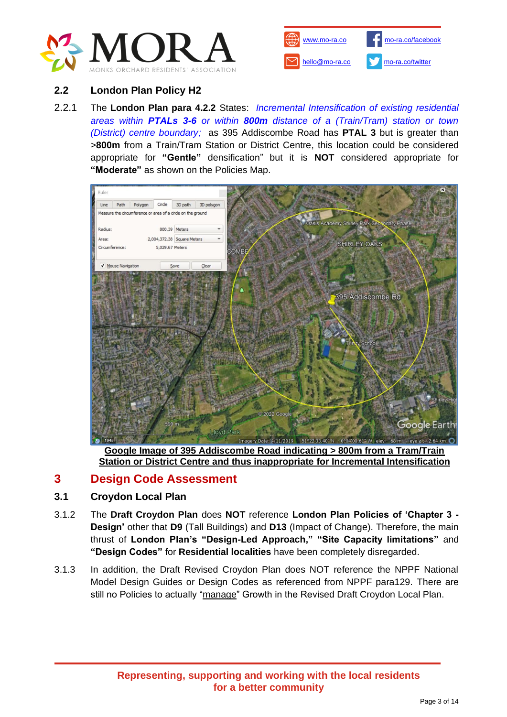



### **2.2 London Plan Policy H2**

2.2.1 The **London Plan para 4.2.2** States: *Incremental Intensification of existing residential areas within PTALs 3-6 or within 800m distance of a (Train/Tram) station or town (District) centre boundary;* as 395 Addiscombe Road has **PTAL 3** but is greater than >**800m** from a Train/Tram Station or District Centre, this location could be considered appropriate for **"Gentle"** densification" but it is **NOT** considered appropriate for **"Moderate"** as shown on the Policies Map.



**Google Image of 395 Addiscombe Road indicating > 800m from a Tram/Train Station or District Centre and thus inappropriate for Incremental Intensification**

# **3 Design Code Assessment**

### **3.1 Croydon Local Plan**

- 3.1.2 The **Draft Croydon Plan** does **NOT** reference **London Plan Policies of 'Chapter 3 - Design'** other that **D9** (Tall Buildings) and **D13** (Impact of Change). Therefore, the main thrust of **London Plan's "Design-Led Approach," "Site Capacity limitations"** and **"Design Codes"** for **Residential localities** have been completely disregarded.
- 3.1.3 In addition, the Draft Revised Croydon Plan does NOT reference the NPPF National Model Design Guides or Design Codes as referenced from NPPF para129. There are still no Policies to actually "manage" Growth in the Revised Draft Croydon Local Plan.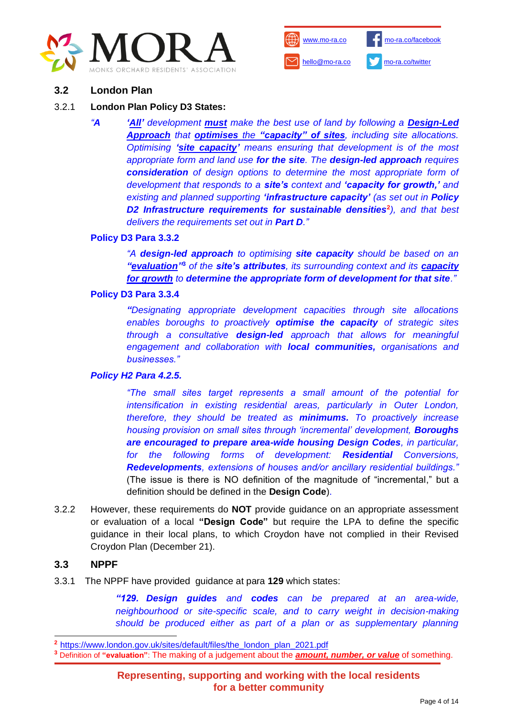



#### **3.2 London Plan**

#### 3.2.1 **London Plan Policy D3 States:**

*"A 'All' development must make the best use of land by following a Design-Led Approach that optimises the "capacity" of sites, including site allocations. Optimising 'site capacity' means ensuring that development is of the most appropriate form and land use for the site. The design-led approach requires consideration of design options to determine the most appropriate form of development that responds to a site's context and 'capacity for growth,' and existing and planned supporting 'infrastructure capacity' (as set out in Policy D2 Infrastructure requirements for sustainable densities***<sup>2</sup>** *), and that best delivers the requirements set out in Part D."* 

### **Policy D3 Para 3.3.2**

*"A design-led approach to optimising site capacity should be based on an "evaluation"* **<sup>3</sup>** *of the site's attributes, its surrounding context and its capacity for growth to determine the appropriate form of development for that site."*

#### **Policy D3 Para 3.3.4**

*"Designating appropriate development capacities through site allocations enables boroughs to proactively optimise the capacity of strategic sites through a consultative design-led approach that allows for meaningful engagement and collaboration with local communities, organisations and businesses."*

#### *Policy H2 Para 4.2.5.*

*"The small sites target represents a small amount of the potential for intensification in existing residential areas, particularly in Outer London, therefore, they should be treated as minimums. To proactively increase housing provision on small sites through 'incremental' development, Boroughs are encouraged to prepare area-wide housing Design Codes, in particular, for the following forms of development: Residential Conversions, Redevelopments, extensions of houses and/or ancillary residential buildings."*  (The issue is there is NO definition of the magnitude of "incremental," but a definition should be defined in the **Design Code**).

3.2.2 However, these requirements do **NOT** provide guidance on an appropriate assessment or evaluation of a local **"Design Code"** but require the LPA to define the specific guidance in their local plans, to which Croydon have not complied in their Revised Croydon Plan (December 21).

### **3.3 NPPF**

3.3.1 The NPPF have provided guidance at para **129** which states:

*"129. Design guides and codes can be prepared at an area-wide, neighbourhood or site-specific scale, and to carry weight in decision-making should be produced either as part of a plan or as supplementary planning* 

**<sup>3</sup>** Definition of **"evaluation"**: The making of a judgement about the *amount, number, or value* of something.

**<sup>2</sup>** [https://www.london.gov.uk/sites/default/files/the\\_london\\_plan\\_2021.pdf](https://www.london.gov.uk/sites/default/files/the_london_plan_2021.pdf)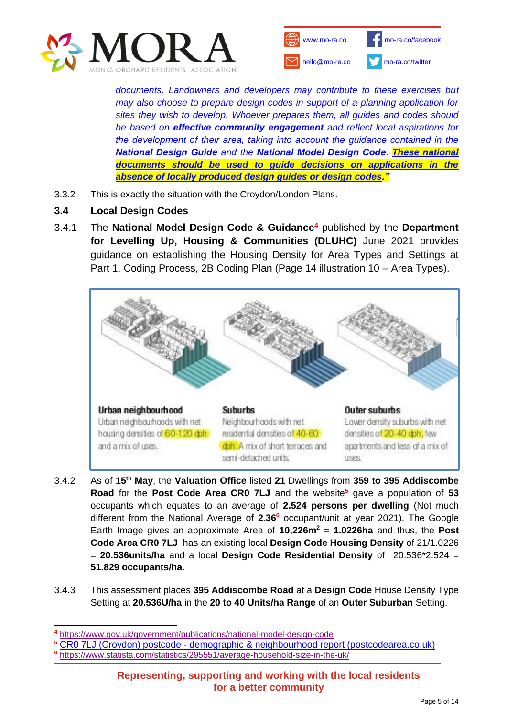



*documents. Landowners and developers may contribute to these exercises but may also choose to prepare design codes in support of a planning application for sites they wish to develop. Whoever prepares them, all guides and codes should be based on effective community engagement and reflect local aspirations for the development of their area, taking into account the guidance contained in the National Design Guide and the National Model Design Code. These national documents should be used to guide decisions on applications in the absence of locally produced design guides or design codes."*

- 3.3.2 This is exactly the situation with the Croydon/London Plans.
- **3.4 Local Design Codes**
- 3.4.1 The **National Model Design Code & Guidance<sup>4</sup>** published by the **Department for Levelling Up, Housing & Communities (DLUHC)** June 2021 provides guidance on establishing the Housing Density for Area Types and Settings at Part 1, Coding Process, 2B Coding Plan (Page 14 illustration 10 – Area Types).



- 3.4.2 As of **15th May**, the **Valuation Office** listed **21** Dwellings from **359 to 395 Addiscombe Road** for the **Post Code Area CR0 7LJ** and the website**<sup>5</sup>** gave a population of **53** occupants which equates to an average of **2.524 persons per dwelling** (Not much different from the National Average of **2.36<sup>6</sup>** occupant/unit at year 2021). The Google Earth Image gives an approximate Area of **10,226m<sup>2</sup>** = **1.0226ha** and thus, the **Post Code Area CR0 7LJ** has an existing local **Design Code Housing Density** of 21/1.0226 = **20.536units/ha** and a local **Design Code Residential Density** of 20.536\*2.524 = **51.829 occupants/ha**.
- 3.4.3 This assessment places **395 Addiscombe Road** at a **Design Code** House Density Type Setting at **20.536U/ha** in the **20 to 40 Units/ha Range** of an **Outer Suburban** Setting.

- **<sup>5</sup>** CR0 7LJ (Croydon) postcode [demographic & neighbourhood report \(postcodearea.co.uk\)](https://www.postcodearea.co.uk/postaltowns/croydon/cr07lj/)
- **<sup>6</sup>** <https://www.statista.com/statistics/295551/average-household-size-in-the-uk/>

**<sup>4</sup>** <https://www.gov.uk/government/publications/national-model-design-code>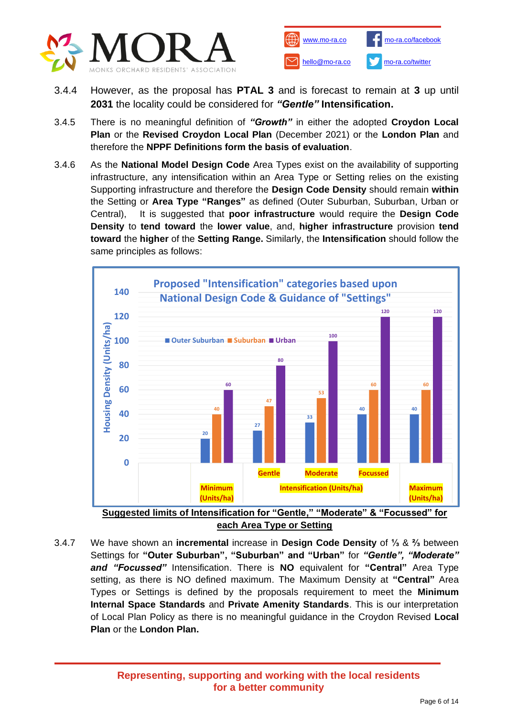



- 3.4.4 However, as the proposal has **PTAL 3** and is forecast to remain at **3** up until **2031** the locality could be considered for *"Gentle"* **Intensification.**
- 3.4.5 There is no meaningful definition of *"Growth"* in either the adopted **Croydon Local Plan** or the **Revised Croydon Local Plan** (December 2021) or the **London Plan** and therefore the **NPPF Definitions form the basis of evaluation**.
- 3.4.6 As the **National Model Design Code** Area Types exist on the availability of supporting infrastructure, any intensification within an Area Type or Setting relies on the existing Supporting infrastructure and therefore the **Design Code Density** should remain **within** the Setting or **Area Type "Ranges"** as defined (Outer Suburban, Suburban, Urban or Central), It is suggested that **poor infrastructure** would require the **Design Code Density** to **tend toward** the **lower value**, and, **higher infrastructure** provision **tend toward** the **higher** of the **Setting Range.** Similarly, the **Intensification** should follow the same principles as follows:



**each Area Type or Setting**

3.4.7 We have shown an **incremental** increase in **Design Code Density** of **⅓** & **⅔** between Settings for **"Outer Suburban", "Suburban" and "Urban"** for *"Gentle", "Moderate" and "Focussed"* Intensification. There is **NO** equivalent for **"Central"** Area Type setting, as there is NO defined maximum. The Maximum Density at **"Central"** Area Types or Settings is defined by the proposals requirement to meet the **Minimum Internal Space Standards** and **Private Amenity Standards**. This is our interpretation of Local Plan Policy as there is no meaningful guidance in the Croydon Revised **Local Plan** or the **London Plan.**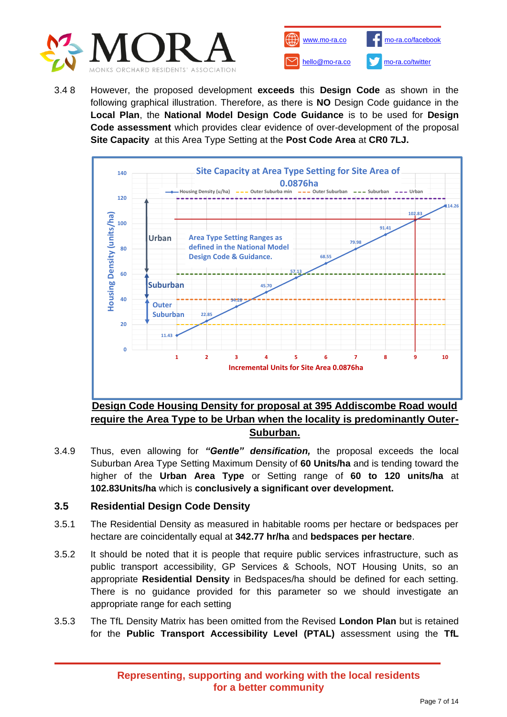



3.4 8 However, the proposed development **exceeds** this **Design Code** as shown in the following graphical illustration. Therefore, as there is **NO** Design Code guidance in the **Local Plan**, the **National Model Design Code Guidance** is to be used for **Design Code assessment** which provides clear evidence of over-development of the proposal **Site Capacity** at this Area Type Setting at the **Post Code Area** at **CR0 7LJ.**



**require the Area Type to be Urban when the locality is predominantly Outer-Suburban.**

3.4.9 Thus, even allowing for *"Gentle" densification,* the proposal exceeds the local Suburban Area Type Setting Maximum Density of **60 Units/ha** and is tending toward the higher of the **Urban Area Type** or Setting range of **60 to 120 units/ha** at **102.83Units/ha** which is **conclusively a significant over development.**

### **3.5 Residential Design Code Density**

- 3.5.1 The Residential Density as measured in habitable rooms per hectare or bedspaces per hectare are coincidentally equal at **342.77 hr/ha** and **bedspaces per hectare**.
- 3.5.2 It should be noted that it is people that require public services infrastructure, such as public transport accessibility, GP Services & Schools, NOT Housing Units, so an appropriate **Residential Density** in Bedspaces/ha should be defined for each setting. There is no guidance provided for this parameter so we should investigate an appropriate range for each setting
- 3.5.3 The TfL Density Matrix has been omitted from the Revised **London Plan** but is retained for the **Public Transport Accessibility Level (PTAL)** assessment using the **TfL**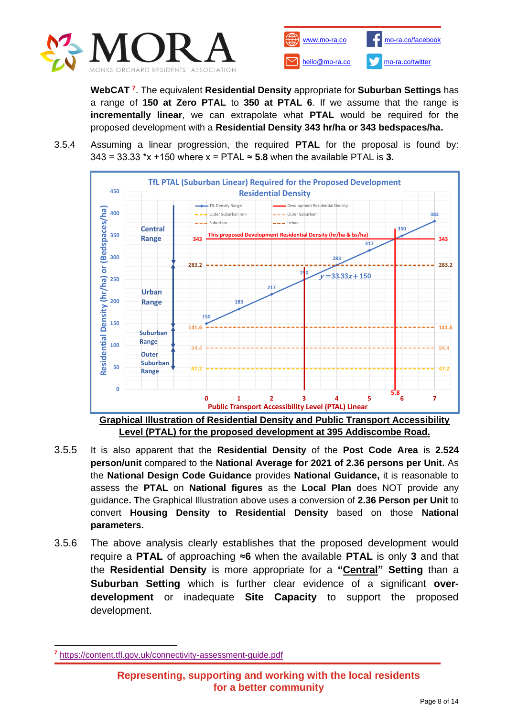



**WebCAT <sup>7</sup>** . The equivalent **Residential Density** appropriate for **Suburban Settings** has a range of **150 at Zero PTAL** to **350 at PTAL 6**. If we assume that the range is **incrementally linear**, we can extrapolate what **PTAL** would be required for the proposed development with a **Residential Density 343 hr/ha or 343 bedspaces/ha.**

3.5.4 Assuming a linear progression, the required **PTAL** for the proposal is found by:  $343 = 33.33$  \*x +150 where x = PTAL  $\approx$  5.8 when the available PTAL is 3.



**Level (PTAL) for the proposed development at 395 Addiscombe Road.**

- 3.5.5 It is also apparent that the **Residential Density** of the **Post Code Area** is **2.524 person/unit** compared to the **National Average for 2021 of 2.36 persons per Unit.** As the **National Design Code Guidance** provides **National Guidance,** it is reasonable to assess the **PTAL** on **National figures** as the **Local Plan** does NOT provide any guidance**. T**he Graphical Illustration above uses a conversion of **2.36 Person per Unit** to convert **Housing Density to Residential Density** based on those **National parameters.**
- 3.5.6 The above analysis clearly establishes that the proposed development would require a **PTAL** of approaching ≈**6** when the available **PTAL** is only **3** and that the **Residential Density** is more appropriate for a **"Central" Setting** than a **Suburban Setting** which is further clear evidence of a significant **overdevelopment** or inadequate **Site Capacity** to support the proposed development.

**<sup>7</sup>** <https://content.tfl.gov.uk/connectivity-assessment-guide.pdf>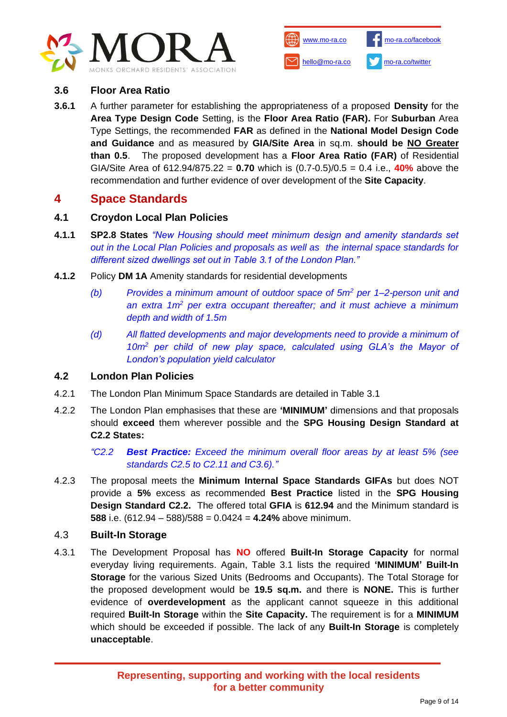



### **3.6 Floor Area Ratio**

**3.6.1** A further parameter for establishing the appropriateness of a proposed **Density** for the **Area Type Design Code** Setting, is the **Floor Area Ratio (FAR).** For **Suburban** Area Type Settings, the recommended **FAR** as defined in the **National Model Design Code and Guidance** and as measured by **GIA/Site Area** in sq.m. **should be NO Greater than 0.5**. The proposed development has a **Floor Area Ratio (FAR)** of Residential GIA/Site Area of 612.94/875.22 = **0.70** which is (0.7-0.5)/0.5 = 0.4 i.e., **40%** above the recommendation and further evidence of over development of the **Site Capacity**.

# **4 Space Standards**

### **4.1 Croydon Local Plan Policies**

- **4.1.1 SP2.8 States** *"New Housing should meet minimum design and amenity standards set out in the Local Plan Policies and proposals as well as the internal space standards for different sized dwellings set out in Table 3.1 of the London Plan."*
- **4.1.2** Policy **DM 1A** Amenity standards for residential developments
	- *(b) Provides a minimum amount of outdoor space of 5m<sup>2</sup> per 1–2-person unit and an extra 1m<sup>2</sup> per extra occupant thereafter; and it must achieve a minimum depth and width of 1.5m*
	- *(d) All flatted developments and major developments need to provide a minimum of 10m<sup>2</sup> per child of new play space, calculated using GLA's the Mayor of London's population yield calculator*

### **4.2 London Plan Policies**

- 4.2.1 The London Plan Minimum Space Standards are detailed in Table 3.1
- 4.2.2 The London Plan emphasises that these are **'MINIMUM'** dimensions and that proposals should **exceed** them wherever possible and the **SPG Housing Design Standard at C2.2 States:**

*"C2.2 Best Practice: Exceed the minimum overall floor areas by at least 5% (see standards C2.5 to C2.11 and C3.6)."*

4.2.3 The proposal meets the **Minimum Internal Space Standards GIFAs** but does NOT provide a **5%** excess as recommended **Best Practice** listed in the **SPG Housing Design Standard C2.2.** The offered total **GFIA** is **612.94** and the Minimum standard is **588** i.e. (612.94 – 588)/588 = 0.0424 = **4.24%** above minimum.

#### 4.3 **Built-In Storage**

4.3.1 The Development Proposal has **NO** offered **Built-In Storage Capacity** for normal everyday living requirements. Again, Table 3.1 lists the required **'MINIMUM' Built-In Storage** for the various Sized Units (Bedrooms and Occupants). The Total Storage for the proposed development would be **19.5 sq.m.** and there is **NONE.** This is further evidence of **overdevelopment** as the applicant cannot squeeze in this additional required **Built-In Storage** within the **Site Capacity.** The requirement is for a **MINIMUM**  which should be exceeded if possible. The lack of any **Built-In Storage** is completely **unacceptable**.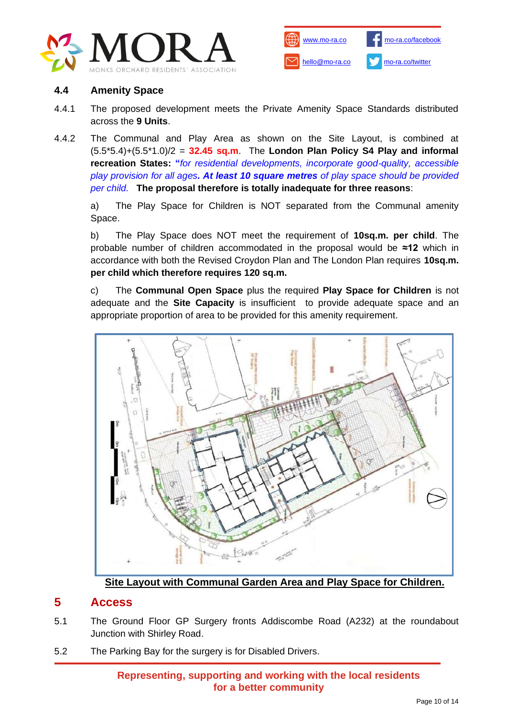



### **4.4 Amenity Space**

- 4.4.1 The proposed development meets the Private Amenity Space Standards distributed across the **9 Units**.
- 4.4.2 The Communal and Play Area as shown on the Site Layout, is combined at (5.5\*5.4)+(5.5\*1.0)/2 = **32.45 sq.m**. The **London Plan Policy S4 Play and informal recreation States: "***for residential developments, incorporate good-quality, accessible play provision for all ages. At least 10 square metres of play space should be provided per child.* **The proposal therefore is totally inadequate for three reasons**:

a) The Play Space for Children is NOT separated from the Communal amenity Space.

b) The Play Space does NOT meet the requirement of **10sq.m. per child**. The probable number of children accommodated in the proposal would be **≈12** which in accordance with both the Revised Croydon Plan and The London Plan requires **10sq.m. per child which therefore requires 120 sq.m.**

c) The **Communal Open Space** plus the required **Play Space for Children** is not adequate and the **Site Capacity** is insufficient to provide adequate space and an appropriate proportion of area to be provided for this amenity requirement.



**Site Layout with Communal Garden Area and Play Space for Children.**

### **5 Access**

- 5.1 The Ground Floor GP Surgery fronts Addiscombe Road (A232) at the roundabout Junction with Shirley Road.
- 5.2 The Parking Bay for the surgery is for Disabled Drivers.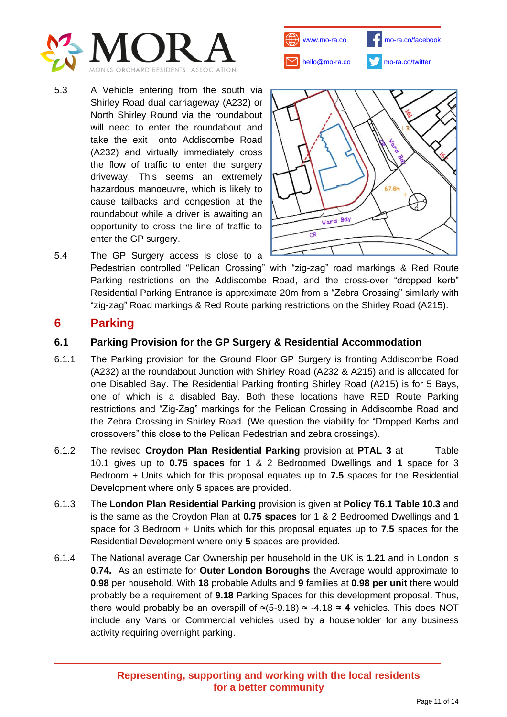

- [www.mo-ra.co](http://www.mo-ra.co/) [hello@mo-ra.co](mailto:hello@mo-ra.co) [mo-ra.co/facebook](http://www.mo-ra.co/facebook) [mo-ra.co/twitter](http://www.mo-ra.co/twitter)
- 5.3 A Vehicle entering from the south via Shirley Road dual carriageway (A232) or North Shirley Round via the roundabout will need to enter the roundabout and take the exit onto Addiscombe Road (A232) and virtually immediately cross the flow of traffic to enter the surgery driveway. This seems an extremely hazardous manoeuvre, which is likely to cause tailbacks and congestion at the roundabout while a driver is awaiting an opportunity to cross the line of traffic to enter the GP surgery.



5.4 The GP Surgery access is close to a Pedestrian controlled "Pelican Crossing" with "zig-zag" road markings & Red Route Parking restrictions on the Addiscombe Road, and the cross-over "dropped kerb" Residential Parking Entrance is approximate 20m from a "Zebra Crossing" similarly with "zig-zag" Road markings & Red Route parking restrictions on the Shirley Road (A215).

# **6 Parking**

### **6.1 Parking Provision for the GP Surgery & Residential Accommodation**

- 6.1.1 The Parking provision for the Ground Floor GP Surgery is fronting Addiscombe Road (A232) at the roundabout Junction with Shirley Road (A232 & A215) and is allocated for one Disabled Bay. The Residential Parking fronting Shirley Road (A215) is for 5 Bays, one of which is a disabled Bay. Both these locations have RED Route Parking restrictions and "Zig-Zag" markings for the Pelican Crossing in Addiscombe Road and the Zebra Crossing in Shirley Road. (We question the viability for "Dropped Kerbs and crossovers" this close to the Pelican Pedestrian and zebra crossings).
- 6.1.2 The revised **Croydon Plan Residential Parking** provision at **PTAL 3** at Table 10.1 gives up to **0.75 spaces** for 1 & 2 Bedroomed Dwellings and **1** space for 3 Bedroom + Units which for this proposal equates up to **7.5** spaces for the Residential Development where only **5** spaces are provided.
- 6.1.3 The **London Plan Residential Parking** provision is given at **Policy T6.1 Table 10.3** and is the same as the Croydon Plan at **0.75 spaces** for 1 & 2 Bedroomed Dwellings and **1** space for 3 Bedroom + Units which for this proposal equates up to **7.5** spaces for the Residential Development where only **5** spaces are provided.
- 6.1.4 The National average Car Ownership per household in the UK is **1.21** and in London is **0.74.** As an estimate for **Outer London Boroughs** the Average would approximate to **0.98** per household. With **18** probable Adults and **9** families at **0.98 per unit** there would probably be a requirement of **9.18** Parking Spaces for this development proposal. Thus, there would probably be an overspill of ≈(5-9.18) ≈ -4.18 **≈ 4** vehicles. This does NOT include any Vans or Commercial vehicles used by a householder for any business activity requiring overnight parking.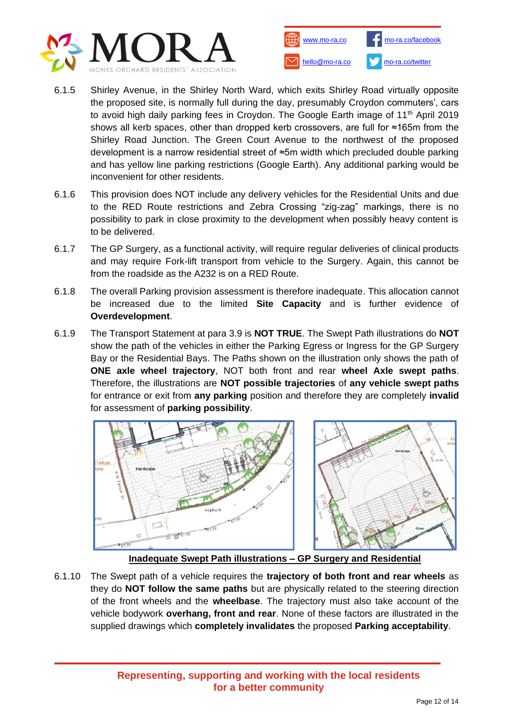



- 6.1.5 Shirley Avenue, in the Shirley North Ward, which exits Shirley Road virtually opposite the proposed site, is normally full during the day, presumably Croydon commuters', cars to avoid high daily parking fees in Croydon. The Google Earth image of 11<sup>th</sup> April 2019 shows all kerb spaces, other than dropped kerb crossovers, are full for ≈165m from the Shirley Road Junction. The Green Court Avenue to the northwest of the proposed development is a narrow residential street of ≈5m width which precluded double parking and has yellow line parking restrictions (Google Earth). Any additional parking would be inconvenient for other residents.
- 6.1.6 This provision does NOT include any delivery vehicles for the Residential Units and due to the RED Route restrictions and Zebra Crossing "zig-zag" markings, there is no possibility to park in close proximity to the development when possibly heavy content is to be delivered.
- 6.1.7 The GP Surgery, as a functional activity, will require regular deliveries of clinical products and may require Fork-lift transport from vehicle to the Surgery. Again, this cannot be from the roadside as the A232 is on a RED Route.
- 6.1.8 The overall Parking provision assessment is therefore inadequate. This allocation cannot be increased due to the limited **Site Capacity** and is further evidence of **Overdevelopment**.
- 6.1.9 The Transport Statement at para 3.9 is **NOT TRUE**. The Swept Path illustrations do **NOT** show the path of the vehicles in either the Parking Egress or Ingress for the GP Surgery Bay or the Residential Bays. The Paths shown on the illustration only shows the path of **ONE axle wheel trajectory**, NOT both front and rear **wheel Axle swept paths**. Therefore, the illustrations are **NOT possible trajectories** of **any vehicle swept paths** for entrance or exit from **any parking** position and therefore they are completely **invalid** for assessment of **parking possibility**.



### **Inadequate Swept Path illustrations – GP Surgery and Residential**

6.1.10 The Swept path of a vehicle requires the **trajectory of both front and rear wheels** as they do **NOT follow the same paths** but are physically related to the steering direction of the front wheels and the **wheelbase**. The trajectory must also take account of the vehicle bodywork **overhang, front and rear**. None of these factors are illustrated in the supplied drawings which **completely invalidates** the proposed **Parking acceptability**.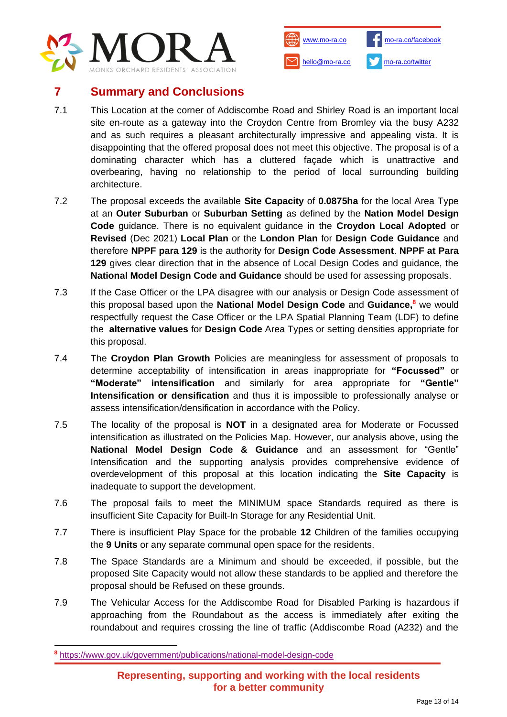



# **7 Summary and Conclusions**

- 7.1 This Location at the corner of Addiscombe Road and Shirley Road is an important local site en-route as a gateway into the Croydon Centre from Bromley via the busy A232 and as such requires a pleasant architecturally impressive and appealing vista. It is disappointing that the offered proposal does not meet this objective. The proposal is of a dominating character which has a cluttered façade which is unattractive and overbearing, having no relationship to the period of local surrounding building architecture.
- 7.2 The proposal exceeds the available **Site Capacity** of **0.0875ha** for the local Area Type at an **Outer Suburban** or **Suburban Setting** as defined by the **Nation Model Design Code** guidance. There is no equivalent guidance in the **Croydon Local Adopted** or **Revised** (Dec 2021) **Local Plan** or the **London Plan** for **Design Code Guidance** and therefore **NPPF para 129** is the authority for **Design Code Assessment**. **NPPF at Para 129** gives clear direction that in the absence of Local Design Codes and guidance, the **National Model Design Code and Guidance** should be used for assessing proposals.
- 7.3 If the Case Officer or the LPA disagree with our analysis or Design Code assessment of this proposal based upon the **National Model Design Code** and **Guidance, <sup>8</sup>** we would respectfully request the Case Officer or the LPA Spatial Planning Team (LDF) to define the **alternative values** for **Design Code** Area Types or setting densities appropriate for this proposal.
- 7.4 The **Croydon Plan Growth** Policies are meaningless for assessment of proposals to determine acceptability of intensification in areas inappropriate for **"Focussed"** or **"Moderate" intensification** and similarly for area appropriate for **"Gentle" Intensification or densification** and thus it is impossible to professionally analyse or assess intensification/densification in accordance with the Policy.
- 7.5 The locality of the proposal is **NOT** in a designated area for Moderate or Focussed intensification as illustrated on the Policies Map. However, our analysis above, using the **National Model Design Code & Guidance** and an assessment for "Gentle" Intensification and the supporting analysis provides comprehensive evidence of overdevelopment of this proposal at this location indicating the **Site Capacity** is inadequate to support the development.
- 7.6 The proposal fails to meet the MINIMUM space Standards required as there is insufficient Site Capacity for Built-In Storage for any Residential Unit.
- 7.7 There is insufficient Play Space for the probable **12** Children of the families occupying the **9 Units** or any separate communal open space for the residents.
- 7.8 The Space Standards are a Minimum and should be exceeded, if possible, but the proposed Site Capacity would not allow these standards to be applied and therefore the proposal should be Refused on these grounds.
- 7.9 The Vehicular Access for the Addiscombe Road for Disabled Parking is hazardous if approaching from the Roundabout as the access is immediately after exiting the roundabout and requires crossing the line of traffic (Addiscombe Road (A232) and the

**<sup>8</sup>** <https://www.gov.uk/government/publications/national-model-design-code>